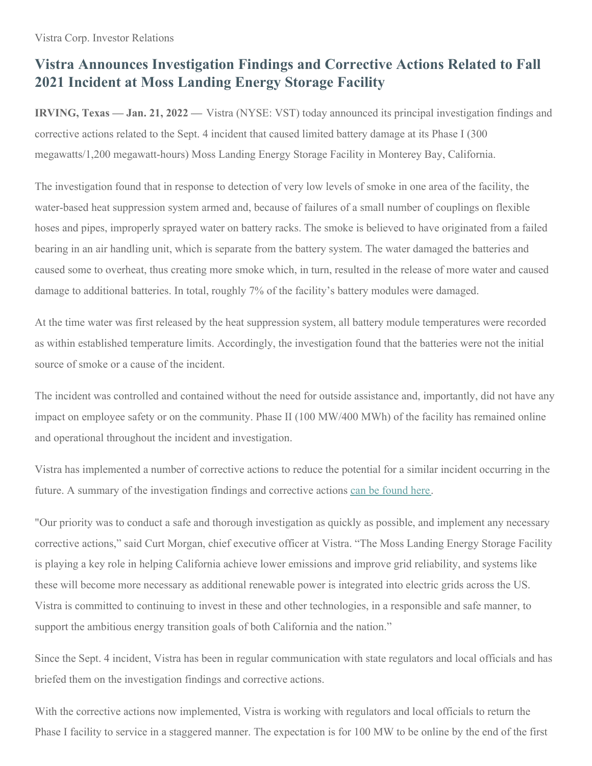## **Vistra Announces Investigation Findings and Corrective Actions Related to Fall 2021 Incident at Moss Landing Energy Storage Facility**

**IRVING, Texas — Jan. 21, 2022 —** Vistra (NYSE: VST) today announced its principal investigation findings and corrective actions related to the Sept. 4 incident that caused limited battery damage at its Phase I (300 megawatts/1,200 megawatt-hours) Moss Landing Energy Storage Facility in Monterey Bay, California.

The investigation found that in response to detection of very low levels of smoke in one area of the facility, the water-based heat suppression system armed and, because of failures of a small number of couplings on flexible hoses and pipes, improperly sprayed water on battery racks. The smoke is believed to have originated from a failed bearing in an air handling unit, which is separate from the battery system. The water damaged the batteries and caused some to overheat, thus creating more smoke which, in turn, resulted in the release of more water and caused damage to additional batteries. In total, roughly 7% of the facility's battery modules were damaged.

At the time water was first released by the heat suppression system, all battery module temperatures were recorded as within established temperature limits. Accordingly, the investigation found that the batteries were not the initial source of smoke or a cause of the incident.

The incident was controlled and contained without the need for outside assistance and, importantly, did not have any impact on employee safety or on the community. Phase II (100 MW/400 MWh) of the facility has remained online and operational throughout the incident and investigation.

Vistra has implemented a number of corrective actions to reduce the potential for a similar incident occurring in the future. A summary of the investigation findings and corrective actions can be [found](https://vistra.box.com/s/1aezfypko93vz5jm9nn9tckphtjkgzvb) here.

"Our priority was to conduct a safe and thorough investigation as quickly as possible, and implement any necessary corrective actions," said Curt Morgan, chief executive officer at Vistra. "The Moss Landing Energy Storage Facility is playing a key role in helping California achieve lower emissions and improve grid reliability, and systems like these will become more necessary as additional renewable power is integrated into electric grids across the US. Vistra is committed to continuing to invest in these and other technologies, in a responsible and safe manner, to support the ambitious energy transition goals of both California and the nation."

Since the Sept. 4 incident, Vistra has been in regular communication with state regulators and local officials and has briefed them on the investigation findings and corrective actions.

With the corrective actions now implemented, Vistra is working with regulators and local officials to return the Phase I facility to service in a staggered manner. The expectation is for 100 MW to be online by the end of the first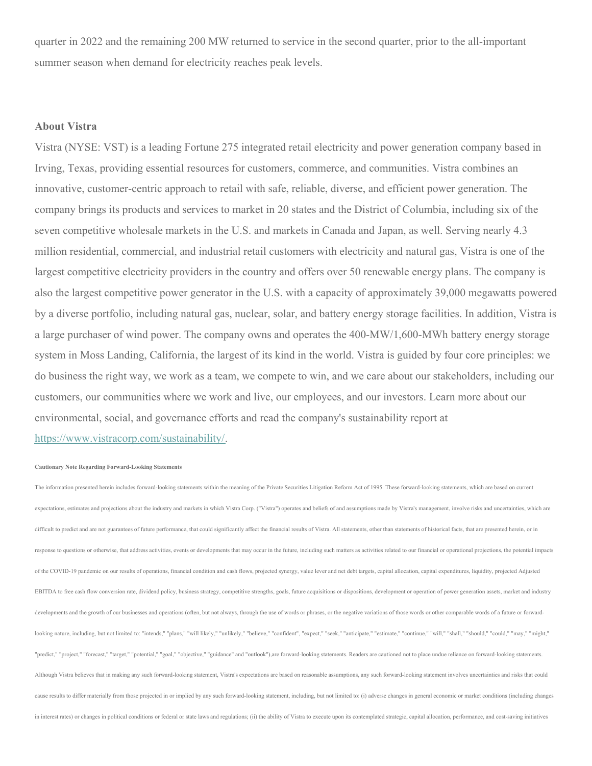quarter in 2022 and the remaining 200 MW returned to service in the second quarter, prior to the all-important summer season when demand for electricity reaches peak levels.

## **About Vistra**

Vistra (NYSE: VST) is a leading Fortune 275 integrated retail electricity and power generation company based in Irving, Texas, providing essential resources for customers, commerce, and communities. Vistra combines an innovative, customer-centric approach to retail with safe, reliable, diverse, and efficient power generation. The company brings its products and services to market in 20 states and the District of Columbia, including six of the seven competitive wholesale markets in the U.S. and markets in Canada and Japan, as well. Serving nearly 4.3 million residential, commercial, and industrial retail customers with electricity and natural gas, Vistra is one of the largest competitive electricity providers in the country and offers over 50 renewable energy plans. The company is also the largest competitive power generator in the U.S. with a capacity of approximately 39,000 megawatts powered by a diverse portfolio, including natural gas, nuclear, solar, and battery energy storage facilities. In addition, Vistra is a large purchaser of wind power. The company owns and operates the 400-MW/1,600-MWh battery energy storage system in Moss Landing, California, the largest of its kind in the world. Vistra is guided by four core principles: we do business the right way, we work as a team, we compete to win, and we care about our stakeholders, including our customers, our communities where we work and live, our employees, and our investors. Learn more about our environmental, social, and governance efforts and read the company's sustainability report at

[https://www.vistracorp.com/sustainability/](https://c212.net/c/link/?t=0&l=en&o=3409519-1&h=3174194752&u=https%3A%2F%2Fwww.vistracorp.com%2Fsustainability%2F&a=https%3A%2F%2Fwww.vistracorp.com%2Fsustainability%2F).

## **Cautionary Note Regarding Forward-Looking Statements**

The information presented herein includes forward-looking statements within the meaning of the Private Securities Litigation Reform Act of 1995. These forward-looking statements, which are based on current expectations, estimates and projections about the industry and markets in which Vistra Corp. ("Vistra") operates and beliefs of and assumptions made by Vistra's management, involve risks and uncertainties, which are difficult to predict and are not guarantees of future performance, that could significantly affect the financial results of Vistra. All statements, other than statements of historical facts, that are presented herein, or i response to questions or otherwise, that address activities, events or developments that may occur in the future, including such matters as activities related to our financial or operational projections, the potential impa of the COVID-19 pandemic on our results of operations, financial condition and cash flows, projected synergy, value lever and net debt targets, capital allocation, capital expenditures, liquidity, projected Adjusted EBITDA to free cash flow conversion rate, dividend policy, business strategy, competitive strengths, goals, future acquisitions or dispositions, development or operation of power generation assets, market and industry developments and the growth of our businesses and operations (often, but not always, through the use of words or phrases, or the negative variations of those words or other comparable words of a future or forwardlooking nature, including, but not limited to: "intends," "plans," "will likely," "unlikely," "believe," "confident", "expect," "seek," "anticipate," "estimate," "continue," "will," "shall," "shall," "could," "could," "may "predict," "project," "forecast," "target," "potential," "goal," "objective," "guidance" and "outlook"),are forward-looking statements. Readers are cautioned not to place undue reliance on forward-looking statements. Although Vistra believes that in making any such forward-looking statement, Vistra's expectations are based on reasonable assumptions, any such forward-looking statement involves uncertainties and risks that could cause results to differ materially from those projected in or implied by any such forward-looking statement, including, but not limited to: (i) adverse changes in general economic or market conditions (including changes in interest rates) or changes in political conditions or federal or state laws and regulations; (ii) the ability of Vistra to execute upon its contemplated strategic, capital allocation, performance, and cost-saving initia